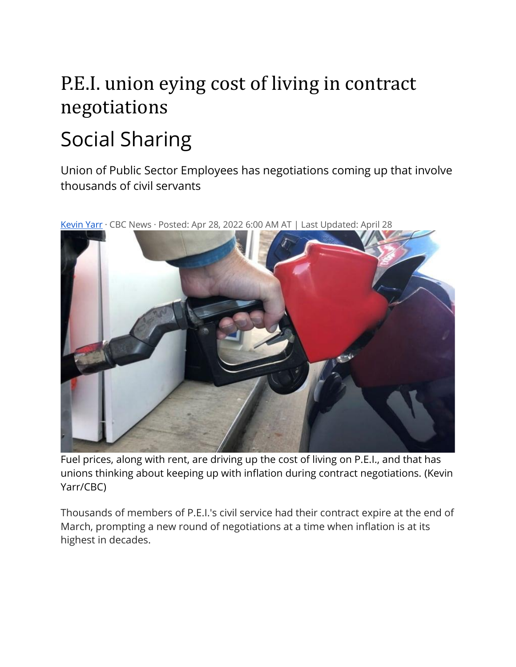# P.E.I. union eying cost of living in contract negotiations Social Sharing

Union of Public Sector Employees has negotiations coming up that involve thousands of civil servants



[Kevin Yarr](https://www.cbc.ca/news/canada/prince-edward-island/author/kevin-yarr-1.3111211) · CBC News · Posted: Apr 28, 2022 6:00 AM AT | Last Updated: April 28

Fuel prices, along with rent, are driving up the cost of living on P.E.I., and that has unions thinking about keeping up with inflation during contract negotiations. (Kevin Yarr/CBC)

Thousands of members of P.E.I.'s civil service had their contract expire at the end of March, prompting a new round of negotiations at a time when inflation is at its highest in decades.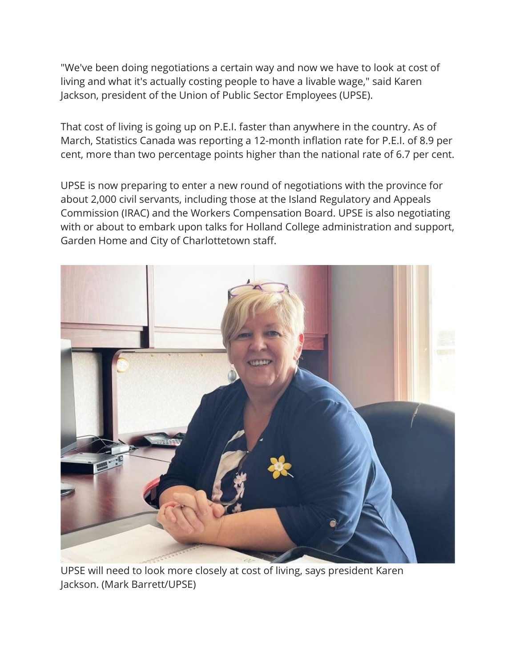"We've been doing negotiations a certain way and now we have to look at cost of living and what it's actually costing people to have a livable wage," said Karen Jackson, president of the Union of Public Sector Employees (UPSE).

That cost of living is going up on P.E.I. faster than anywhere in the country. As of March, Statistics Canada was reporting a 12-month inflation rate for P.E.I. of 8.9 per cent, more than two percentage points higher than the national rate of 6.7 per cent.

UPSE is now preparing to enter a new round of negotiations with the province for about 2,000 civil servants, including those at the Island Regulatory and Appeals Commission (IRAC) and the Workers Compensation Board. UPSE is also negotiating with or about to embark upon talks for Holland College administration and support, Garden Home and City of Charlottetown staff.



UPSE will need to look more closely at cost of living, says president Karen Jackson. (Mark Barrett/UPSE)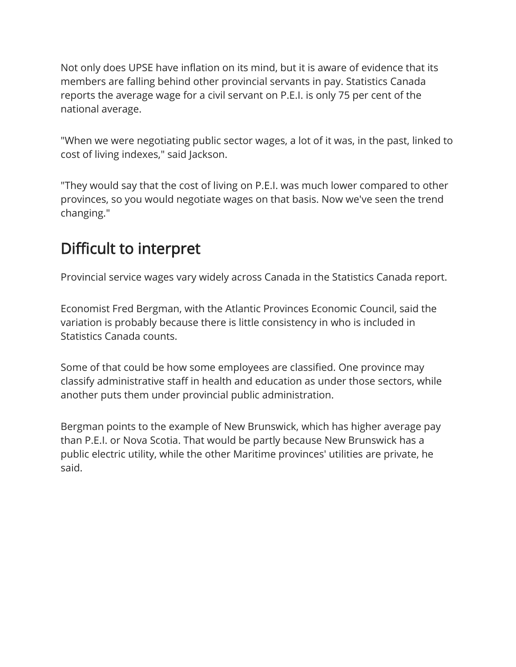Not only does UPSE have inflation on its mind, but it is aware of evidence that its members are falling behind other provincial servants in pay. Statistics Canada reports the average wage for a civil servant on P.E.I. is only 75 per cent of the national average.

"When we were negotiating public sector wages, a lot of it was, in the past, linked to cost of living indexes," said Jackson.

"They would say that the cost of living on P.E.I. was much lower compared to other provinces, so you would negotiate wages on that basis. Now we've seen the trend changing."

## Difficult to interpret

Provincial service wages vary widely across Canada in the Statistics Canada report.

Economist Fred Bergman, with the Atlantic Provinces Economic Council, said the variation is probably because there is little consistency in who is included in Statistics Canada counts.

Some of that could be how some employees are classified. One province may classify administrative staff in health and education as under those sectors, while another puts them under provincial public administration.

Bergman points to the example of New Brunswick, which has higher average pay than P.E.I. or Nova Scotia. That would be partly because New Brunswick has a public electric utility, while the other Maritime provinces' utilities are private, he said.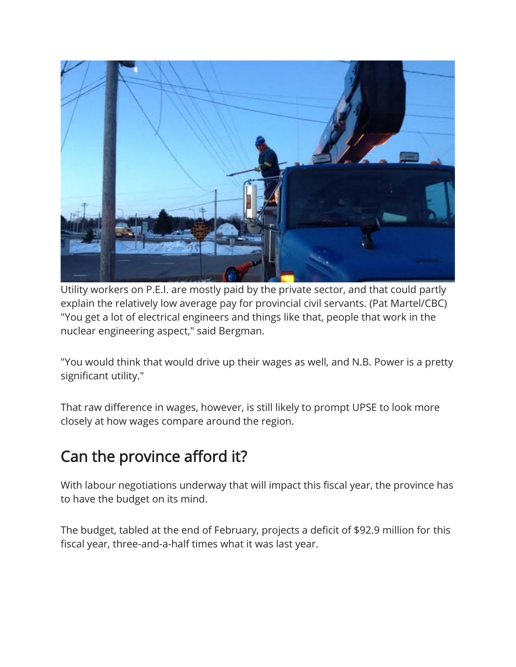

Utility workers on P.E.I. are mostly paid by the private sector, and that could partly explain the relatively low average pay for provincial civil servants. (Pat Martel/CBC) "You get a lot of electrical engineers and things like that, people that work in the nuclear engineering aspect," said Bergman.

"You would think that would drive up their wages as well, and N.B. Power is a pretty significant utility."

That raw difference in wages, however, is still likely to prompt UPSE to look more closely at how wages compare around the region.

## Can the province afford it?

With labour negotiations underway that will impact this fiscal year, the province has to have the budget on its mind.

The budget, tabled at the end of February, projects a deficit of \$92.9 million for this fiscal year, three-and-a-half times what it was last year.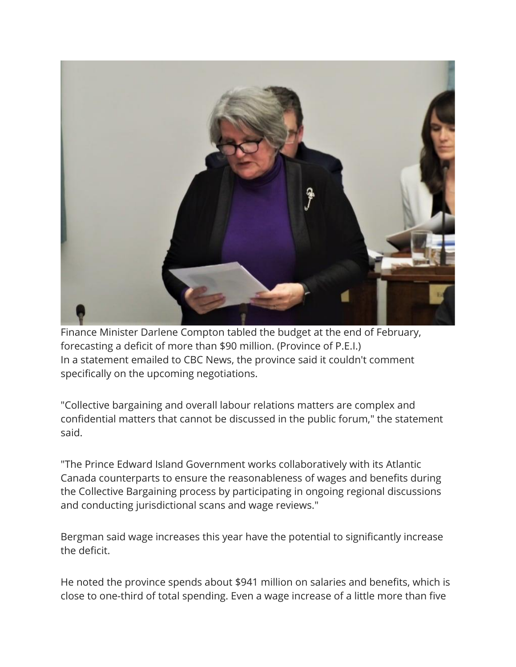

Finance Minister Darlene Compton tabled the budget at the end of February, forecasting a deficit of more than \$90 million. (Province of P.E.I.) In a statement emailed to CBC News, the province said it couldn't comment specifically on the upcoming negotiations.

"Collective bargaining and overall labour relations matters are complex and confidential matters that cannot be discussed in the public forum," the statement said.

"The Prince Edward Island Government works collaboratively with its Atlantic Canada counterparts to ensure the reasonableness of wages and benefits during the Collective Bargaining process by participating in ongoing regional discussions and conducting jurisdictional scans and wage reviews."

Bergman said wage increases this year have the potential to significantly increase the deficit.

He noted the province spends about \$941 million on salaries and benefits, which is close to one-third of total spending. Even a wage increase of a little more than five